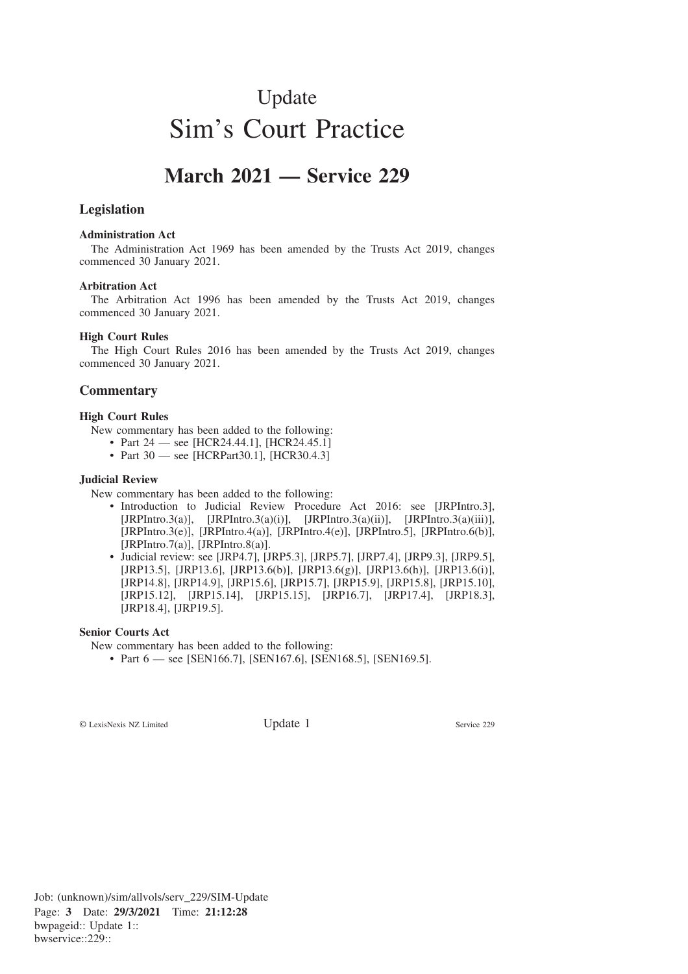# Update Sim's Court Practice

# **March 2021 — Service 229**

## **Legislation**

#### **Administration Act**

The Administration Act 1969 has been amended by the Trusts Act 2019, changes commenced 30 January 2021.

#### **Arbitration Act**

The Arbitration Act 1996 has been amended by the Trusts Act 2019, changes commenced 30 January 2021.

#### **High Court Rules**

The High Court Rules 2016 has been amended by the Trusts Act 2019, changes commenced 30 January 2021.

### **Commentary**

#### **High Court Rules**

New commentary has been added to the following:

- Part 24 see [HCR24.44.1], [HCR24.45.1]
- Part 30 see [HCRPart30.1], [HCR30.4.3]

#### **Judicial Review**

New commentary has been added to the following:

- Introduction to Judicial Review Procedure Act 2016: see [JRPIntro.3], [JRPIntro.3(a)], [JRPIntro.3(a)(i)], [JRPIntro.3(a)(ii)], [JRPIntro.3(a)(iii)], [JRPIntro.3(e)], [JRPIntro.4(a)], [JRPIntro.4(e)], [JRPIntro.5], [JRPIntro.6(b)], [JRPIntro.7(a)], [JRPIntro.8(a)].
- Judicial review: see [JRP4.7], [JRP5.3], [JRP5.7], [JRP7.4], [JRP9.3], [JRP9.5], [JRP13.5], [JRP13.6], [JRP13.6(b)], [JRP13.6(g)], [JRP13.6(h)], [JRP13.6(i)], [JRP14.8], [JRP14.9], [JRP15.6], [JRP15.7], [JRP15.9], [JRP15.8], [JRP15.10], [JRP15.12], [JRP15.14], [JRP15.15], [JRP16.7], [JRP17.4], [JRP18.3], [JRP18.4], [JRP19.5].

#### **Senior Courts Act**

New commentary has been added to the following:

• Part 6 — see [SEN166.7], [SEN167.6], [SEN168.5], [SEN169.5].

© LexisNexis NZ Limited Update 1 Service 229